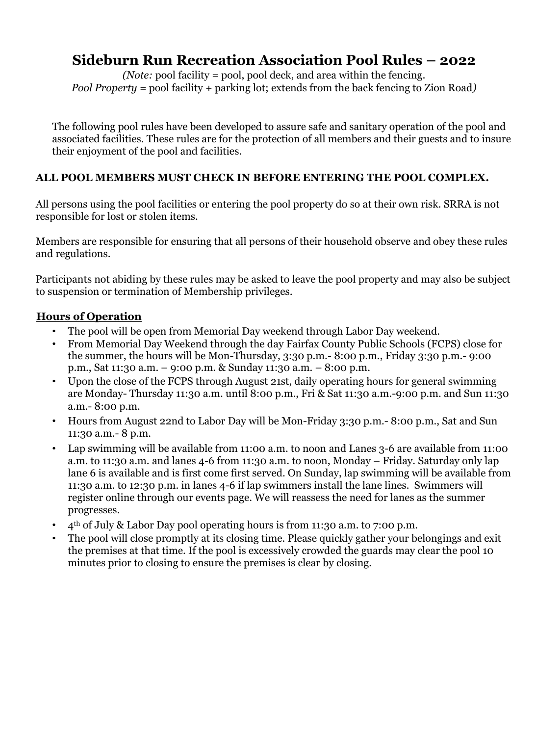# **Sideburn Run Recreation Association Pool Rules – 2022**

*(Note:* pool facility = pool, pool deck, and area within the fencing*. Pool Property =* pool facility + parking lot; extends from the back fencing to Zion Road*)*

The following pool rules have been developed to assure safe and sanitary operation of the pool and associated facilities. These rules are for the protection of all members and their guests and to insure their enjoyment of the pool and facilities.

### **ALL POOL MEMBERS MUST CHECK IN BEFORE ENTERING THE POOL COMPLEX.**

All persons using the pool facilities or entering the pool property do so at their own risk. SRRA is not responsible for lost or stolen items.

Members are responsible for ensuring that all persons of their household observe and obey these rules and regulations.

Participants not abiding by these rules may be asked to leave the pool property and may also be subject to suspension or termination of Membership privileges.

### **Hours of Operation**

- The pool will be open from Memorial Day weekend through Labor Day weekend.
- From Memorial Day Weekend through the day Fairfax County Public Schools (FCPS) close for the summer, the hours will be Mon-Thursday, 3:30 p.m.- 8:00 p.m., Friday 3:30 p.m.- 9:00 p.m., Sat 11:30 a.m. – 9:00 p.m. & Sunday 11:30 a.m. – 8:00 p.m.
- Upon the close of the FCPS through August 21st, daily operating hours for general swimming are Monday- Thursday 11:30 a.m. until 8:00 p.m., Fri & Sat 11:30 a.m.-9:00 p.m. and Sun 11:30 a.m.- 8:00 p.m.
- Hours from August 22nd to Labor Day will be Mon-Friday 3:30 p.m.- 8:00 p.m., Sat and Sun 11:30 a.m.- 8 p.m.
- Lap swimming will be available from 11:00 a.m. to noon and Lanes 3-6 are available from 11:00 a.m. to 11:30 a.m. and lanes 4-6 from 11:30 a.m. to noon, Monday – Friday. Saturday only lap lane 6 is available and is first come first served. On Sunday, lap swimming will be available from 11:30 a.m. to 12:30 p.m. in lanes 4-6 if lap swimmers install the lane lines. Swimmers will register online through our events page. We will reassess the need for lanes as the summer progresses.
- 4th of July & Labor Day pool operating hours is from 11:30 a.m. to 7:00 p.m.
- The pool will close promptly at its closing time. Please quickly gather your belongings and exit the premises at that time. If the pool is excessively crowded the guards may clear the pool 10 minutes prior to closing to ensure the premises is clear by closing.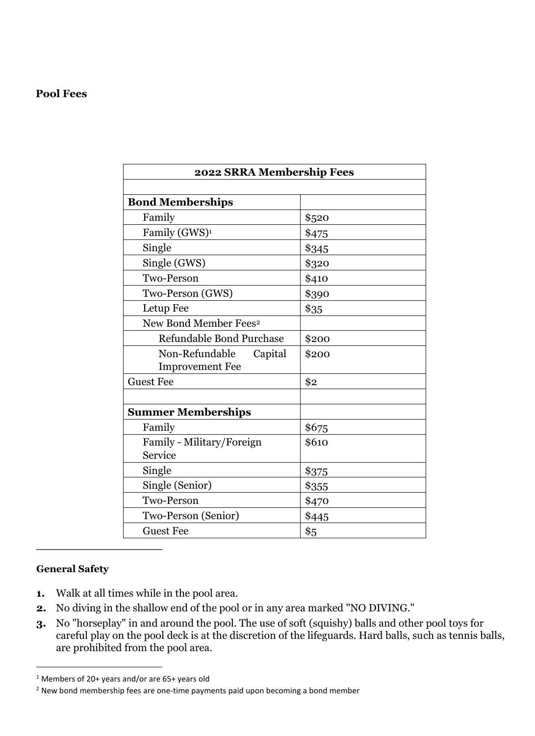#### **Pool Fees**

| 2022 SRRA Membership Fees         |       |
|-----------------------------------|-------|
|                                   |       |
| <b>Bond Memberships</b>           |       |
| Family                            | \$520 |
| Family (GWS) <sup>1</sup>         | \$475 |
| Single                            | \$345 |
| Single (GWS)                      | \$320 |
| Two-Person                        | \$410 |
| Two-Person (GWS)                  | \$390 |
| Letup Fee                         | \$35  |
| New Bond Member Fees <sup>2</sup> |       |
| Refundable Bond Purchase          | \$200 |
| Non-Refundable<br>Capital         | \$200 |
| <b>Improvement Fee</b>            |       |
| <b>Guest Fee</b>                  | \$2   |
|                                   |       |
| <b>Summer Memberships</b>         |       |
| Family                            | \$675 |
| Family - Military/Foreign         | \$610 |
| Service                           |       |
| Single                            | \$375 |
| Single (Senior)                   | \$355 |
| Two-Person                        | \$470 |
| Two-Person (Senior)               | \$445 |
| <b>Guest Fee</b>                  | \$5   |

#### **General Safety**

- **1.** Walk at all times while in the pool area.
- **2.** No diving in the shallow end of the pool or in any area marked "NO DIVING."
- **3.** No "horseplay" in and around the pool. The use of soft (squishy) balls and other pool toys for careful play on the pool deck is at the discretion of the lifeguards. Hard balls, such as tennis balls, are prohibited from the pool area.

<sup>1</sup> Members of 20+ years and/or are 65+ years old

<sup>&</sup>lt;sup>2</sup> New bond membership fees are one-time payments paid upon becoming a bond member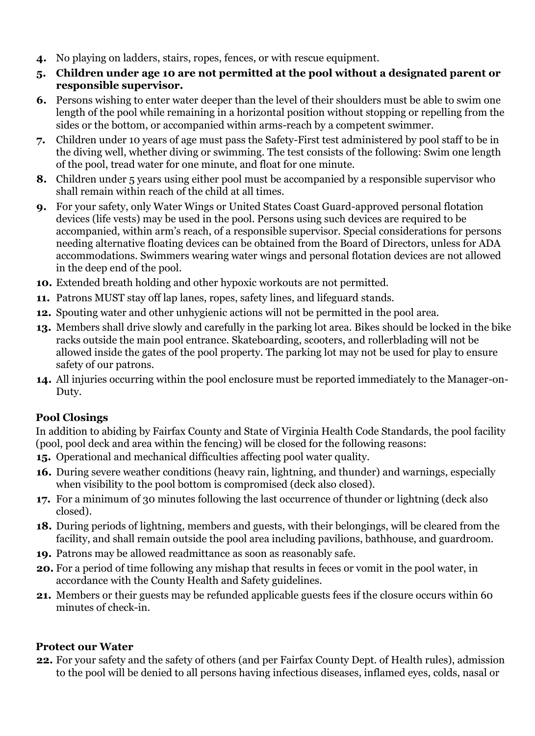- **4.** No playing on ladders, stairs, ropes, fences, or with rescue equipment.
- **5. Children under age 10 are not permitted at the pool without a designated parent or responsible supervisor.**
- **6.** Persons wishing to enter water deeper than the level of their shoulders must be able to swim one length of the pool while remaining in a horizontal position without stopping or repelling from the sides or the bottom, or accompanied within arms-reach by a competent swimmer.
- **7.** Children under 10 years of age must pass the Safety-First test administered by pool staff to be in the diving well, whether diving or swimming. The test consists of the following: Swim one length of the pool, tread water for one minute, and float for one minute.
- **8.** Children under 5 years using either pool must be accompanied by a responsible supervisor who shall remain within reach of the child at all times.
- **9.** For your safety, only Water Wings or United States Coast Guard-approved personal flotation devices (life vests) may be used in the pool. Persons using such devices are required to be accompanied, within arm's reach, of a responsible supervisor. Special considerations for persons needing alternative floating devices can be obtained from the Board of Directors, unless for ADA accommodations. Swimmers wearing water wings and personal flotation devices are not allowed in the deep end of the pool.
- **10.** Extended breath holding and other hypoxic workouts are not permitted.
- **11.** Patrons MUST stay off lap lanes, ropes, safety lines, and lifeguard stands.
- **12.** Spouting water and other unhygienic actions will not be permitted in the pool area.
- **13.** Members shall drive slowly and carefully in the parking lot area. Bikes should be locked in the bike racks outside the main pool entrance. Skateboarding, scooters, and rollerblading will not be allowed inside the gates of the pool property. The parking lot may not be used for play to ensure safety of our patrons.
- **14.** All injuries occurring within the pool enclosure must be reported immediately to the Manager-on-Duty.

# **Pool Closings**

In addition to abiding by Fairfax County and State of Virginia Health Code Standards, the pool facility (pool, pool deck and area within the fencing) will be closed for the following reasons:

- **15.** Operational and mechanical difficulties affecting pool water quality.
- **16.** During severe weather conditions (heavy rain, lightning, and thunder) and warnings, especially when visibility to the pool bottom is compromised (deck also closed).
- **17.** For a minimum of 30 minutes following the last occurrence of thunder or lightning (deck also closed).
- **18.** During periods of lightning, members and guests, with their belongings, will be cleared from the facility, and shall remain outside the pool area including pavilions, bathhouse, and guardroom.
- **19.** Patrons may be allowed readmittance as soon as reasonably safe.
- **20.** For a period of time following any mishap that results in feces or vomit in the pool water, in accordance with the County Health and Safety guidelines.
- **21.** Members or their guests may be refunded applicable guests fees if the closure occurs within 60 minutes of check-in.

# **Protect our Water**

**22.** For your safety and the safety of others (and per Fairfax County Dept. of Health rules), admission to the pool will be denied to all persons having infectious diseases, inflamed eyes, colds, nasal or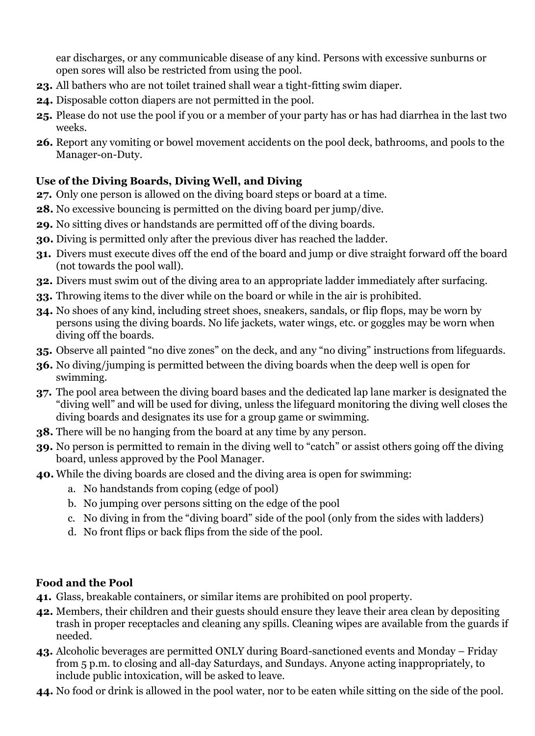ear discharges, or any communicable disease of any kind. Persons with excessive sunburns or open sores will also be restricted from using the pool.

- **23.** All bathers who are not toilet trained shall wear a tight-fitting swim diaper.
- **24.** Disposable cotton diapers are not permitted in the pool.
- **25.** Please do not use the pool if you or a member of your party has or has had diarrhea in the last two weeks.
- **26.** Report any vomiting or bowel movement accidents on the pool deck, bathrooms, and pools to the Manager-on-Duty.

# **Use of the Diving Boards, Diving Well, and Diving**

- **27.** Only one person is allowed on the diving board steps or board at a time.
- **28.** No excessive bouncing is permitted on the diving board per jump/dive.
- **29.** No sitting dives or handstands are permitted off of the diving boards.
- **30.** Diving is permitted only after the previous diver has reached the ladder.
- **31.** Divers must execute dives off the end of the board and jump or dive straight forward off the board (not towards the pool wall).
- **32.** Divers must swim out of the diving area to an appropriate ladder immediately after surfacing.
- **33.** Throwing items to the diver while on the board or while in the air is prohibited.
- **34.** No shoes of any kind, including street shoes, sneakers, sandals, or flip flops, may be worn by persons using the diving boards. No life jackets, water wings, etc. or goggles may be worn when diving off the boards.
- **35.** Observe all painted "no dive zones" on the deck, and any "no diving" instructions from lifeguards.
- **36.** No diving/jumping is permitted between the diving boards when the deep well is open for swimming.
- **37.** The pool area between the diving board bases and the dedicated lap lane marker is designated the "diving well" and will be used for diving, unless the lifeguard monitoring the diving well closes the diving boards and designates its use for a group game or swimming.
- **38.** There will be no hanging from the board at any time by any person.
- **39.** No person is permitted to remain in the diving well to "catch" or assist others going off the diving board, unless approved by the Pool Manager.
- **40.** While the diving boards are closed and the diving area is open for swimming:
	- a. No handstands from coping (edge of pool)
	- b. No jumping over persons sitting on the edge of the pool
	- c. No diving in from the "diving board" side of the pool (only from the sides with ladders)
	- d. No front flips or back flips from the side of the pool.

# **Food and the Pool**

- **41.** Glass, breakable containers, or similar items are prohibited on pool property.
- **42.** Members, their children and their guests should ensure they leave their area clean by depositing trash in proper receptacles and cleaning any spills. Cleaning wipes are available from the guards if needed.
- **43.** Alcoholic beverages are permitted ONLY during Board-sanctioned events and Monday Friday from 5 p.m. to closing and all-day Saturdays, and Sundays. Anyone acting inappropriately, to include public intoxication, will be asked to leave.
- **44.** No food or drink is allowed in the pool water, nor to be eaten while sitting on the side of the pool.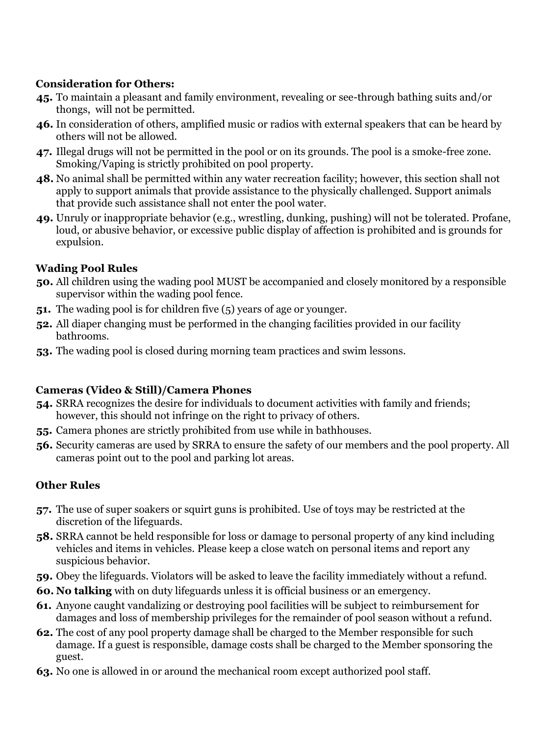# **Consideration for Others:**

- **45.** To maintain a pleasant and family environment, revealing or see-through bathing suits and/or thongs, will not be permitted.
- **46.** In consideration of others, amplified music or radios with external speakers that can be heard by others will not be allowed.
- **47.** Illegal drugs will not be permitted in the pool or on its grounds. The pool is a smoke-free zone. Smoking/Vaping is strictly prohibited on pool property.
- **48.** No animal shall be permitted within any water recreation facility; however, this section shall not apply to support animals that provide assistance to the physically challenged. Support animals that provide such assistance shall not enter the pool water.
- **49.** Unruly or inappropriate behavior (e.g., wrestling, dunking, pushing) will not be tolerated. Profane, loud, or abusive behavior, or excessive public display of affection is prohibited and is grounds for expulsion.

# **Wading Pool Rules**

- **50.** All children using the wading pool MUST be accompanied and closely monitored by a responsible supervisor within the wading pool fence.
- **51.** The wading pool is for children five (5) years of age or younger.
- **52.** All diaper changing must be performed in the changing facilities provided in our facility bathrooms.
- **53.** The wading pool is closed during morning team practices and swim lessons.

# **Cameras (Video & Still)/Camera Phones**

- **54.** SRRA recognizes the desire for individuals to document activities with family and friends; however, this should not infringe on the right to privacy of others.
- **55.** Camera phones are strictly prohibited from use while in bathhouses.
- **56.** Security cameras are used by SRRA to ensure the safety of our members and the pool property. All cameras point out to the pool and parking lot areas.

# **Other Rules**

- **57.** The use of super soakers or squirt guns is prohibited. Use of toys may be restricted at the discretion of the lifeguards.
- **58.** SRRA cannot be held responsible for loss or damage to personal property of any kind including vehicles and items in vehicles. Please keep a close watch on personal items and report any suspicious behavior.
- **59.** Obey the lifeguards. Violators will be asked to leave the facility immediately without a refund.
- **60. No talking** with on duty lifeguards unless it is official business or an emergency.
- **61.** Anyone caught vandalizing or destroying pool facilities will be subject to reimbursement for damages and loss of membership privileges for the remainder of pool season without a refund.
- **62.** The cost of any pool property damage shall be charged to the Member responsible for such damage. If a guest is responsible, damage costs shall be charged to the Member sponsoring the guest.
- **63.** No one is allowed in or around the mechanical room except authorized pool staff.